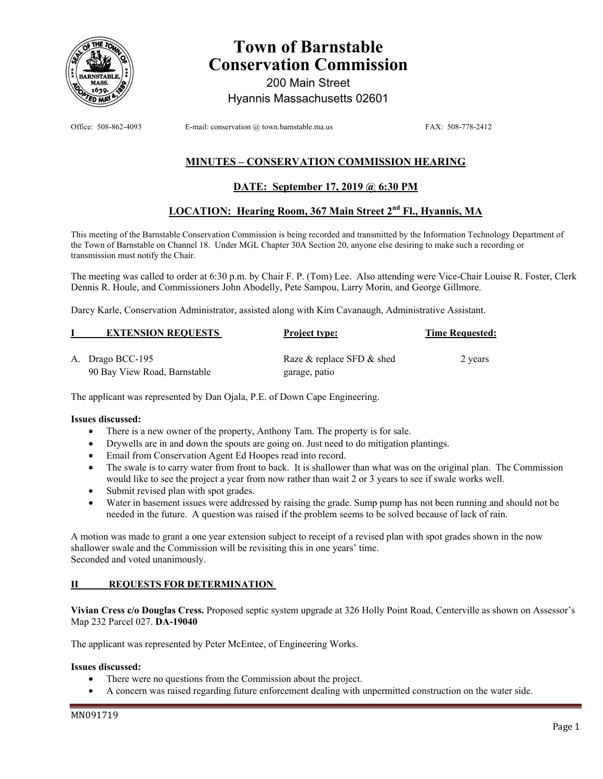

# **Town of Barnstable Conservation Commission**

200 Main Street Hyannis Massachusetts 02601

Office: 508-862-4093 E-mail: conservation @ town.barnstable.ma.us FAX: 508-778-2412

# **MINUTES – CONSERVATION COMMISSION HEARING**

# **DATE: September 17, 2019 @ 6:30 PM**

# **LOCATION: Hearing Room, 367 Main Street 2nd Fl., Hyannis, MA**

This meeting of the Barnstable Conservation Commission is being recorded and transmitted by the Information Technology Department of the Town of Barnstable on Channel 18. Under MGL Chapter 30A Section 20, anyone else desiring to make such a recording or transmission must notify the Chair.

The meeting was called to order at 6:30 p.m. by Chair F. P. (Tom) Lee. Also attending were Vice-Chair Louise R. Foster, Clerk Dennis R. Houle, and Commissioners John Abodelly, Pete Sampou, Larry Morin, and George Gillmore.

Darcy Karle, Conservation Administrator, assisted along with Kim Cavanaugh, Administrative Assistant.

| <b>EXTENSION REQUESTS</b>    | <b>Project type:</b>      | <b>Time Requested:</b> |
|------------------------------|---------------------------|------------------------|
| A. Drago BCC-195             | Raze & replace SFD & shed | 2 years                |
| 90 Bay View Road, Barnstable | garage, patio             |                        |

The applicant was represented by Dan Ojala, P.E. of Down Cape Engineering.

#### **Issues discussed:**

- There is a new owner of the property, Anthony Tam. The property is for sale.
- Drywells are in and down the spouts are going on. Just need to do mitigation plantings.
- Email from Conservation Agent Ed Hoopes read into record.
- The swale is to carry water from front to back. It is shallower than what was on the original plan. The Commission would like to see the project a year from now rather than wait 2 or 3 years to see if swale works well.
- Submit revised plan with spot grades.
- Water in basement issues were addressed by raising the grade. Sump pump has not been running and should not be needed in the future. A question was raised if the problem seems to be solved because of lack of rain.

A motion was made to grant a one year extension subject to receipt of a revised plan with spot grades shown in the now shallower swale and the Commission will be revisiting this in one years' time. Seconded and voted unanimously.

# **II REQUESTS FOR DETERMINATION**

**Vivian Cress c/o Douglas Cress.** Proposed septic system upgrade at 326 Holly Point Road, Centerville as shown on Assessor's Map 232 Parcel 027. **DA-19040**

The applicant was represented by Peter McEntee, of Engineering Works.

#### **Issues discussed:**

- There were no questions from the Commission about the project.
- A concern was raised regarding future enforcement dealing with unpermitted construction on the water side.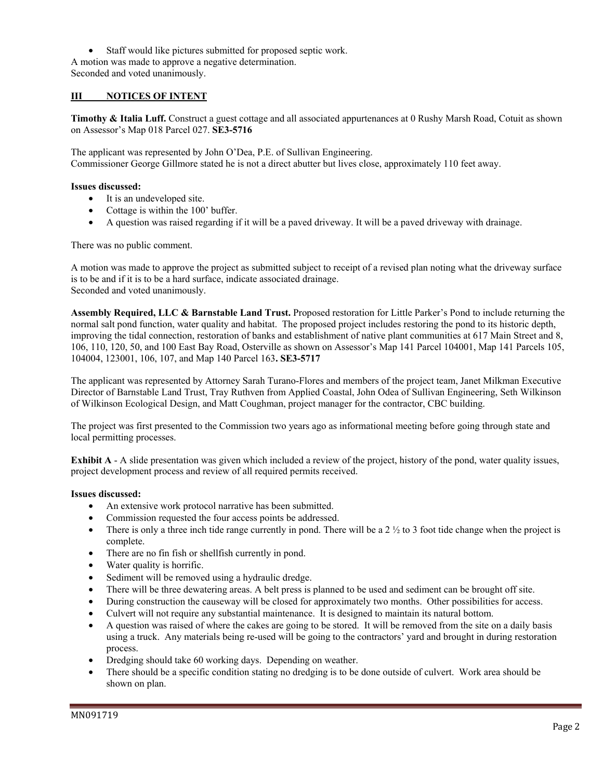• Staff would like pictures submitted for proposed septic work. A motion was made to approve a negative determination. Seconded and voted unanimously.

# **III NOTICES OF INTENT**

**Timothy & Italia Luff.** Construct a guest cottage and all associated appurtenances at 0 Rushy Marsh Road, Cotuit as shown on Assessor's Map 018 Parcel 027. **SE3-5716** 

The applicant was represented by John O'Dea, P.E. of Sullivan Engineering. Commissioner George Gillmore stated he is not a direct abutter but lives close, approximately 110 feet away.

#### **Issues discussed:**

- It is an undeveloped site.
- Cottage is within the 100' buffer.
- A question was raised regarding if it will be a paved driveway. It will be a paved driveway with drainage.

There was no public comment.

A motion was made to approve the project as submitted subject to receipt of a revised plan noting what the driveway surface is to be and if it is to be a hard surface, indicate associated drainage. Seconded and voted unanimously.

**Assembly Required, LLC & Barnstable Land Trust.** Proposed restoration for Little Parker's Pond to include returning the normal salt pond function, water quality and habitat. The proposed project includes restoring the pond to its historic depth, improving the tidal connection, restoration of banks and establishment of native plant communities at 617 Main Street and 8, 106, 110, 120, 50, and 100 East Bay Road, Osterville as shown on Assessor's Map 141 Parcel 104001, Map 141 Parcels 105, 104004, 123001, 106, 107, and Map 140 Parcel 163**. SE3-5717** 

The applicant was represented by Attorney Sarah Turano-Flores and members of the project team, Janet Milkman Executive Director of Barnstable Land Trust, Tray Ruthven from Applied Coastal, John Odea of Sullivan Engineering, Seth Wilkinson of Wilkinson Ecological Design, and Matt Coughman, project manager for the contractor, CBC building.

The project was first presented to the Commission two years ago as informational meeting before going through state and local permitting processes.

**Exhibit A** - A slide presentation was given which included a review of the project, history of the pond, water quality issues, project development process and review of all required permits received.

# **Issues discussed:**

- An extensive work protocol narrative has been submitted.
- Commission requested the four access points be addressed.
- There is only a three inch tide range currently in pond. There will be a  $2 \frac{1}{2}$  to 3 foot tide change when the project is complete.
- There are no fin fish or shellfish currently in pond.
- Water quality is horrific.
- Sediment will be removed using a hydraulic dredge.
- There will be three dewatering areas. A belt press is planned to be used and sediment can be brought off site.
- During construction the causeway will be closed for approximately two months. Other possibilities for access.
- Culvert will not require any substantial maintenance. It is designed to maintain its natural bottom.
- A question was raised of where the cakes are going to be stored. It will be removed from the site on a daily basis using a truck. Any materials being re-used will be going to the contractors' yard and brought in during restoration process.
- Dredging should take 60 working days. Depending on weather.
- There should be a specific condition stating no dredging is to be done outside of culvert. Work area should be shown on plan.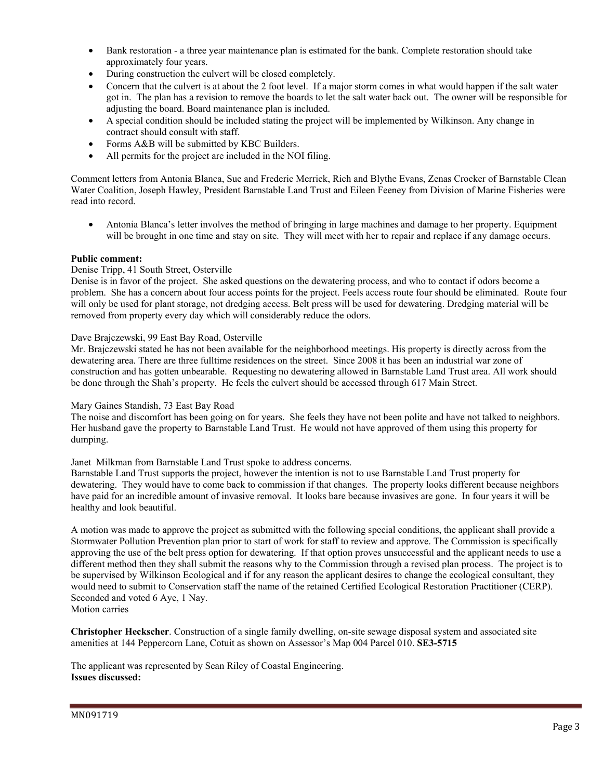- Bank restoration a three year maintenance plan is estimated for the bank. Complete restoration should take approximately four years.
- During construction the culvert will be closed completely.
- Concern that the culvert is at about the 2 foot level. If a major storm comes in what would happen if the salt water got in. The plan has a revision to remove the boards to let the salt water back out. The owner will be responsible for adjusting the board. Board maintenance plan is included.
- A special condition should be included stating the project will be implemented by Wilkinson. Any change in contract should consult with staff.
- Forms A&B will be submitted by KBC Builders.
- All permits for the project are included in the NOI filing.

Comment letters from Antonia Blanca, Sue and Frederic Merrick, Rich and Blythe Evans, Zenas Crocker of Barnstable Clean Water Coalition, Joseph Hawley, President Barnstable Land Trust and Eileen Feeney from Division of Marine Fisheries were read into record.

• Antonia Blanca's letter involves the method of bringing in large machines and damage to her property. Equipment will be brought in one time and stay on site. They will meet with her to repair and replace if any damage occurs.

#### **Public comment:**

#### Denise Tripp, 41 South Street, Osterville

Denise is in favor of the project. She asked questions on the dewatering process, and who to contact if odors become a problem. She has a concern about four access points for the project. Feels access route four should be eliminated. Route four will only be used for plant storage, not dredging access. Belt press will be used for dewatering. Dredging material will be removed from property every day which will considerably reduce the odors.

#### Dave Brajczewski, 99 East Bay Road, Osterville

Mr. Brajczewski stated he has not been available for the neighborhood meetings. His property is directly across from the dewatering area. There are three fulltime residences on the street. Since 2008 it has been an industrial war zone of construction and has gotten unbearable. Requesting no dewatering allowed in Barnstable Land Trust area. All work should be done through the Shah's property. He feels the culvert should be accessed through 617 Main Street.

# Mary Gaines Standish, 73 East Bay Road

The noise and discomfort has been going on for years. She feels they have not been polite and have not talked to neighbors. Her husband gave the property to Barnstable Land Trust. He would not have approved of them using this property for dumping.

#### Janet Milkman from Barnstable Land Trust spoke to address concerns.

Barnstable Land Trust supports the project, however the intention is not to use Barnstable Land Trust property for dewatering. They would have to come back to commission if that changes. The property looks different because neighbors have paid for an incredible amount of invasive removal. It looks bare because invasives are gone. In four years it will be healthy and look beautiful.

A motion was made to approve the project as submitted with the following special conditions, the applicant shall provide a Stormwater Pollution Prevention plan prior to start of work for staff to review and approve. The Commission is specifically approving the use of the belt press option for dewatering. If that option proves unsuccessful and the applicant needs to use a different method then they shall submit the reasons why to the Commission through a revised plan process. The project is to be supervised by Wilkinson Ecological and if for any reason the applicant desires to change the ecological consultant, they would need to submit to Conservation staff the name of the retained Certified Ecological Restoration Practitioner (CERP). Seconded and voted 6 Aye, 1 Nay. Motion carries

**Christopher Heckscher**. Construction of a single family dwelling, on-site sewage disposal system and associated site amenities at 144 Peppercorn Lane, Cotuit as shown on Assessor's Map 004 Parcel 010. **SE3-5715** 

The applicant was represented by Sean Riley of Coastal Engineering. **Issues discussed:**